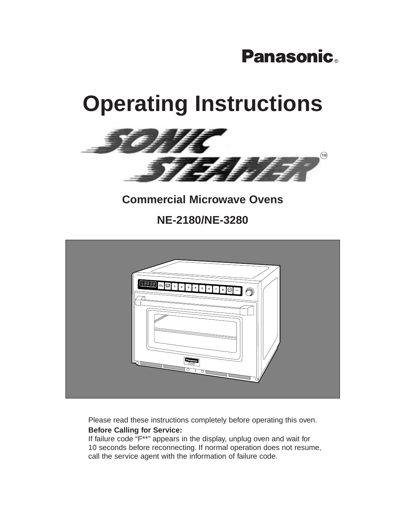# **Panasonic.**

# **Operating Instructions**



## **Commercial Microwave Ovens**

**NE-2180/NE-3280**



Please read these instructions completely before operating this oven. **Before Calling for Service:**

If failure code "F\*\*" appears in the display, unplug oven and wait for 10 seconds before reconnecting. If normal operation does not resume, call the service agent with the information of failure code.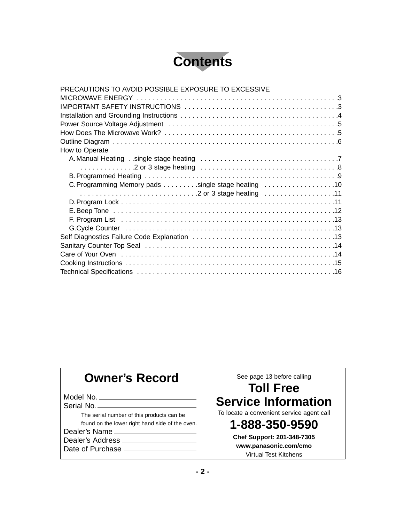# **Contents**

| PRECAUTIONS TO AVOID POSSIBLE EXPOSURE TO EXCESSIVE |
|-----------------------------------------------------|
|                                                     |
|                                                     |
|                                                     |
|                                                     |
|                                                     |
|                                                     |
| How to Operate                                      |
|                                                     |
|                                                     |
|                                                     |
| C. Programming Memory pads single stage heating 10  |
|                                                     |
|                                                     |
|                                                     |
|                                                     |
|                                                     |
|                                                     |
|                                                     |
|                                                     |
|                                                     |
|                                                     |

## **Owner's Record**

Model No. Serial No.

The serial number of this products can be

found on the lower right hand side of the oven.

Dealer's Name Dealer's Address

Date of Purchase \_

See page 13 before calling

## **Toll Free Service Information**

To locate a convenient service agent call

## **1-888-350-9590**

**Chef Support: 201-348-7305 www.panasonic.com/cmo** Virtual Test Kitchens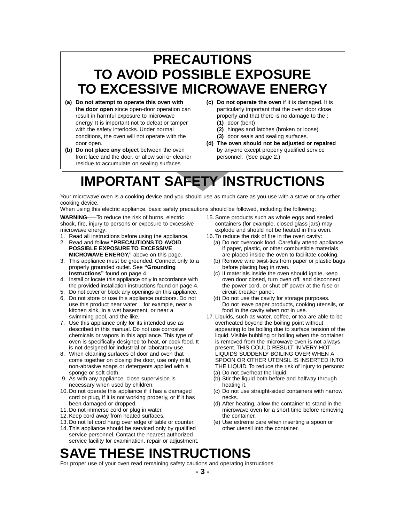## **PRECAUTIONS TO AVOID POSSIBLE EXPOSURE TO EXCESSIVE MICROWAVE ENERGY**

- **(a) Do not attempt to operate this oven with the door open** since open-door operation can result in harmful exposure to microwave energy. It is important not to defeat or tamper with the safety interlocks. Under normal conditions, the oven will not operate with the door open.
- **(b) Do not place any object** between the oven front face and the door, or allow soil or cleaner residue to accumulate on sealing surfaces.
- **(c) Do not operate the oven** if it is damaged. It is particularly important that the oven door close properly and that there is no damage to the : **(1)** door (bent)
	- **(2)** hinges and latches (broken or loose)
	- **(3)** door seals and sealing surfaces.
- **(d) The oven should not be adjusted or repaired** by anyone except properly qualified service personnel. (See page 2.)

# **IMPORTANT SAFETY INSTRUCTIONS**

Your microwave oven is a cooking device and you should use as much care as you use with a stove or any other cooking device.

When using this electric appliance, basic safety precautions should be followed, including the following:

**WARNING**–––To reduce the risk of burns, electric shock, fire, injury to persons or exposure to excessive microwave energy:

- 1. Read all instructions before using the appliance. 2. Read and follow **"PRECAUTIONS TO AVOID**
- **POSSIBLE EXPOSURE TO EXCESSIVE MICROWAVE ENERGY,"** above on this page.
- 3. This appliance must be grounded. Connect only to a properly grounded outlet. See **"Grounding Instructions"** found on page 4.
- 4. Install or locate this appliance only in accordance with the provided installation instructions found on page 4.
- 5. Do not cover or block any openings on this appliance.
- 6. Do not store or use this appliance outdoors. Do not use this product near water for example, near a kitchen sink, in a wet basement, or near a swimming pool, and the like.
- 7. Use this appliance only for its intended use as described in this manual. Do not use corrosive chemicals or vapors in this appliance. This type of oven is specifically designed to heat, or cook food. It is not designed for industrial or laboratory use.
- 8. When cleaning surfaces of door and oven that come together on closing the door, use only mild, non-abrasive soaps or detergents applied with a sponge or soft cloth.
- 9. As with any appliance, close supervision is necessary when used by children.
- 10. Do not operate this appliance if it has a damaged cord or plug, if it is not working properly, or if it has been damaged or dropped.
- 11. Do not immerse cord or plug in water.
- 12. Keep cord away from heated surfaces.
- 13. Do not let cord hang over edge of table or counter.
- 14. This appliance should be serviced only by qualified service personnel. Contact the nearest authorized service facility for examination, repair or adjustment.
- 15. Some products such as whole eggs and sealed containers (for example, closed glass jars) may explode and should not be heated in this oven.
- 16. To reduce the risk of fire in the oven cavity:
	- (a) Do not overcook food. Carefully attend appliance if paper, plastic, or other combustible materials are placed inside the oven to facilitate cooking.
	- (b) Remove wire twist-ties from paper or plastic bags before placing bag in oven.
	- (c) If materials inside the oven should ignite, keep oven door closed, turn oven off, and disconnect the power cord, or shut off power at the fuse or circuit breaker panel.
	- (d) Do not use the cavity for storage purposes. Do not leave paper products, cooking utensils, or food in the cavity when not in use.
- 17. Liquids, such as water, coffee, or tea are able to be overheated beyond the boiling point without appearing to be boiling due to surface tension of the liquid. Visible bubbling or boiling when the container is removed from the microwave oven is not always present. THIS COULD RESULT IN VERY HOT LIQUIDS SUDDENLY BOILING OVER WHEN A SPOON OR OTHER UTENSIL IS INSERTED INTO THE LIQUID. To reduce the risk of injury to persons:
	- (a) Do not overheat the liquid.
	- (b) Stir the liquid both before and halfway through heating it.
	- (c) Do not use straight-sided containers with narrow necks.
	- (d) After heating, allow the container to stand in the microwave oven for a short time before removing the container.
	- (e) Use extreme care when inserting a spoon or other utensil into the container.

# **SAVE THESE INSTRUCTIONS**

For proper use of your oven read remaining safety cautions and operating instructions.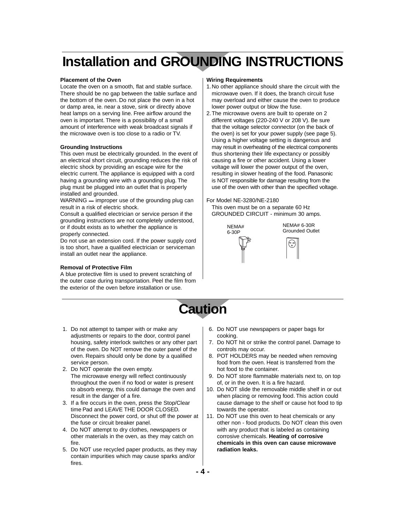## **Installation and GROUNDING INSTRUCTIONS**

#### **Placement of the Oven**

Locate the oven on a smooth, flat and stable surface. There should be no gap between the table surface and the bottom of the oven. Do not place the oven in a hot or damp area, ie. near a stove, sink or directly above heat lamps on a serving line. Free airflow around the oven is important. There is a possibility of a small amount of interference with weak broadcast signals if the microwave oven is too close to a radio or TV.

#### **Grounding Instructions**

This oven must be electrically grounded. In the event of an electrical short circuit, grounding reduces the risk of electric shock by providing an escape wire for the electric current. The appliance is equipped with a cord having a grounding wire with a grounding plug. The plug must be plugged into an outlet that is properly installed and grounded.

WARNING  $-$  improper use of the grounding plug can result in a risk of electric shock.

Consult a qualified electrician or service person if the grounding instructions are not completely understood, or if doubt exists as to whether the appliance is properly connected.

Do not use an extension cord. If the power supply cord is too short, have a qualified electrician or serviceman install an outlet near the appliance.

#### **Removal of Protective Film**

A blue protective film is used to prevent scratching of the outer case during transportation. Peel the film from the exterior of the oven before installation or use.

#### **Wiring Requirements**

- 1.No other appliance should share the circuit with the microwave oven. If it does, the branch circuit fuse may overload and either cause the oven to produce lower power output or blow the fuse.
- 2.The microwave ovens are built to operate on 2 different voltages (220-240 V or 208 V). Be sure that the voltage selector connector (on the back of the oven) is set for your power supply (see page 5). Using a higher voltage setting is dangerous and may result in overheating of the electrical components thus shortening their life expectancy or possibly causing a fire or other accident. Using a lower voltage will lower the power output of the oven, resulting in slower heating of the food. Panasonic is NOT responsible for damage resulting from the use of the oven with other than the specified voltage.

#### For Model NE-3280/NE-2180 This oven must be on a separate 60 Hz

GROUNDED CIRCUIT - minimum 30 amps.



NEMA# 6-30R Grounded Outlet

# **Caution**

- 1. Do not attempt to tamper with or make any adjustments or repairs to the door, control panel housing, safety interlock switches or any other part of the oven. Do NOT remove the outer panel of the oven. Repairs should only be done by a qualified service person.
- 2. Do NOT operate the oven empty. The microwave energy will reflect continuously throughout the oven if no food or water is present to absorb energy, this could damage the oven and result in the danger of a fire.
- 3. If a fire occurs in the oven, press the Stop/Clear time Pad and LEAVE THE DOOR CLOSED. Disconnect the power cord, or shut off the power at the fuse or circuit breaker panel.
- 4. Do NOT attempt to dry clothes, newspapers or other materials in the oven, as they may catch on fire.
- 5. Do NOT use recycled paper products, as they may contain impurities which may cause sparks and/or fires.
- 6. Do NOT use newspapers or paper bags for cooking.
- 7. Do NOT hit or strike the control panel. Damage to controls may occur.
- 8. POT HOLDERS may be needed when removing food from the oven. Heat is transferred from the hot food to the container.
- 9. Do NOT store flammable materials next to, on top of, or in the oven. It is a fire hazard.
- 10. Do NOT slide the removable middle shelf in or out when placing or removing food. This action could cause damage to the shelf or cause hot food to tip towards the operator.
- 11. Do NOT use this oven to heat chemicals or any other non - food products. Do NOT clean this oven with any product that is labeled as containing corrosive chemicals. **Heating of corrosive chemicals in this oven can cause microwave radiation leaks.**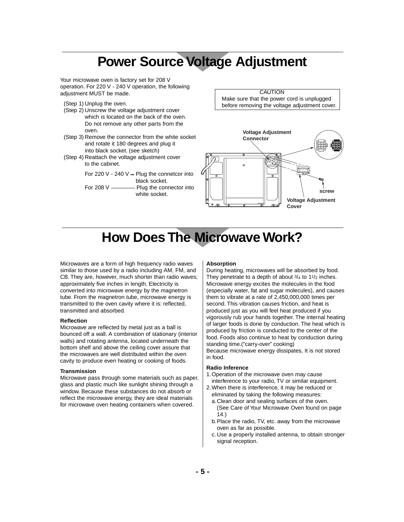## **Power Source Voltage Adjustment**

Your microwave oven is factory set for 208 V operation. For 220 V - 240 V operation, the following adjustment MUST be made.

- (Step 1) Unplug the oven.
- (Step 2) Unscrew the voltage adjustment cover which is located on the back of the oven. Do not remove any other parts from the oven.
- (Step 3) Remove the connector from the white socket and rotate it 180 degrees and plug it into black socket. (see sketch)
- (Step 4) Reattach the voltage adjustment cover to the cabinet.

For 220 V - 240 V - Plug the connetcor into black socket. For 208 V Plug the connector into white socket.

**CAUTION** Make sure that the power cord is unplugged before removing the voltage adjustment cover.



## **How Does The Microwave Work?**

Microwaves are a form of high frequency radio waves similar to those used by a radio including AM, FM, and CB. They are, however, much shorter than radio waves; approximately five inches in length. Electricity is converted into microwave energy by the magnetron tube. From the magnetron tube, microwave energy is transmitted to the oven cavity where it is: reflected, transmitted and absorbed.

#### **Reflection**

Microwave are reflected by metal just as a ball is bounced off a wall. A combination of stationary (interior walls) and rotating antenna, located underneath the bottom shelf and above the ceiling cover assure that the microwaves are well distributed within the oven cavity to produce even heating or cooking of foods.

#### **Transmission**

Microwave pass through some materials such as paper, glass and plastic much like sunlight shining through a window. Because these substances do not absorb or reflect the microwave energy, they are ideal materials for microwave oven heating containers when covered.

#### **Absorption**

During heating, microwaves will be absorbed by food. They penetrate to a depth of about  $3/4$  to  $11/2$  inches. Microwave energy excites the molecules in the food (especially water, fat and sugar molecules), and causes them to vibrate at a rate of 2,450,000,000 times per second. This vibration causes friction, and heat is produced just as you will feel heat produced if you vigorously rub your hands together. The internal heating of larger foods is done by conduction. The heat which is produced by friction is conducted to the center of the food. Foods also continue to heat by conduction during standing time.("carry-over" cooking)

Because microwave energy dissipates, It is not stored in food.

#### **Radio Inference**

- 1.Operation of the microwave oven may cause interference to your radio, TV or similar equipment.
- 2.When there is interference, it may be reduced or eliminated by taking the following measures:
	- a.Clean door and sealing surfaces of the oven. (See Care of Your Microwave Oven found on page 14.)
	- b. Place the radio, TV, etc. away from the microwave oven as far as possible.
	- c. Use a properly installed antenna, to obtain stronger signal reception.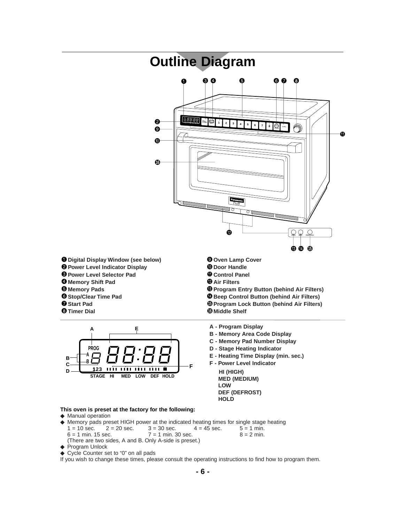



- **B Memory Area Code Display**
- **C Memory Pad Number Display**
- **D Stage Heating Indicator**
- **E Heating Time Display (min. sec.)**
- **F Power Level Indicator HI (HIGH) MED (MEDIUM) LOW DEF (DEFROST) HOLD**

#### **This oven is preset at the factory for the following:**

- ◆ Manual operation
- ◆ Memory pads preset HIGH power at the indicated heating times for single stage heating  $1 = 10 \text{ sec.}$   $2 = 20 \text{ sec.}$   $3 = 30 \text{ sec.}$   $4 = 45 \text{ sec.}$   $5 = 1 \text{ min.}$  $1 = 10 \text{ sec.}$   $2 = 20 \text{ sec.}$   $3 = 30 \text{ sec.}$   $4 = 45 \text{ sec.}$   $5 = 1 \text{ min.}$ <br>6 = 1 min. 15 sec.  $7 = 1 \text{ min.}$  30 sec.  $8 = 2 \text{ min.}$  $7 = 1$  min. 30 sec. (There are two sides, A and B. Only A-side is preset.)
- ◆ Program Unlock
- ◆ Cycle Counter set to "0" on all pads
- If you wish to change these times, please consult the operating instructions to find how to program them.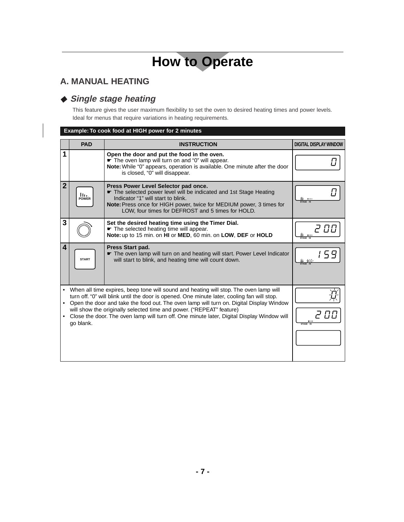## **A. MANUAL HEATING**

### ◆ **Single stage heating**

This feature gives the user maximum flexibility to set the oven to desired heating times and power levels. Ideal for menus that require variations in heating requirements.

#### **Example: To cook food at HIGH power for 2 minutes**

|                | <b>PAD</b>                                                                                                                                                                                                                                                                                                                                                                                                                                                         | <b>INSTRUCTION</b>                                                                                                                                                                                                                                                                 | <b>DIGITAL DISPLAY WINDOW</b> |
|----------------|--------------------------------------------------------------------------------------------------------------------------------------------------------------------------------------------------------------------------------------------------------------------------------------------------------------------------------------------------------------------------------------------------------------------------------------------------------------------|------------------------------------------------------------------------------------------------------------------------------------------------------------------------------------------------------------------------------------------------------------------------------------|-------------------------------|
| 1              |                                                                                                                                                                                                                                                                                                                                                                                                                                                                    | Open the door and put the food in the oven.<br>The oven lamp will turn on and "0" will appear.<br>Note: While "0" appears, operation is available. One minute after the door<br>is closed, "0" will disappear.                                                                     |                               |
| $\overline{2}$ | llı.<br><b>POWER</b>                                                                                                                                                                                                                                                                                                                                                                                                                                               | Press Power Level Selector pad once.<br>The selected power level will be indicated and 1st Stage Heating<br>Indicator "1" will start to blink.<br><b>Note:</b> Press once for HIGH power, twice for MEDIUM power, 3 times for<br>LOW, four times for DEFROST and 5 times for HOLD. | <b>ALC</b>                    |
| 3              |                                                                                                                                                                                                                                                                                                                                                                                                                                                                    | Set the desired heating time using the Timer Dial.<br>The selected heating time will appear.<br>Note: up to 15 min. on HI or MED, 60 min. on LOW, DEF or HOLD                                                                                                                      |                               |
| 4              | <b>START</b>                                                                                                                                                                                                                                                                                                                                                                                                                                                       | Press Start pad.<br>The oven lamp will turn on and heating will start. Power Level Indicator<br>will start to blink, and heating time will count down.                                                                                                                             | 米 - 100                       |
| ٠              | When all time expires, beep tone will sound and heating will stop. The oven lamp will<br>turn off. "0" will blink until the door is opened. One minute later, cooling fan will stop.<br>Open the door and take the food out. The oven lamp will turn on. Digital Display Window<br>will show the originally selected time and power. ("REPEAT" feature)<br>Close the door. The oven lamp will turn off. One minute later, Digital Display Window will<br>go blank. |                                                                                                                                                                                                                                                                                    | <b>1111</b><br>STAGE HI       |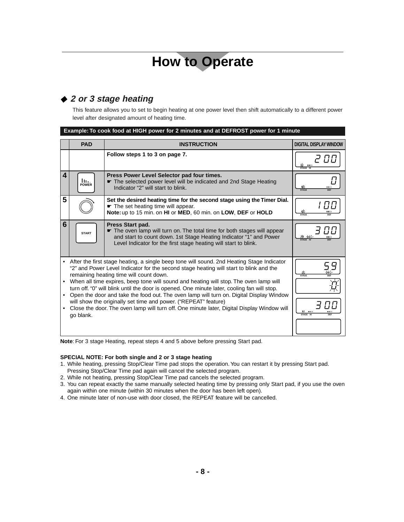### ◆ **2 or 3 stage heating**

This feature allows you to set to begin heating at one power level then shift automatically to a different power level after designated amount of heating time.

| Example: To cook food at HIGH power for 2 minutes and at DEFROST power for 1 minute 1 |
|---------------------------------------------------------------------------------------|
|                                                                                       |
|                                                                                       |

|           | <b>PAD</b>                                                                                                                                                                                                                                                                                                                                                                                                                                                                                                                                                                                                                                                                                      | <b>INSTRUCTION</b>                                                                                                                                                                                                                   | <b>DIGITAL DISPLAY WINDOW</b> |
|-----------|-------------------------------------------------------------------------------------------------------------------------------------------------------------------------------------------------------------------------------------------------------------------------------------------------------------------------------------------------------------------------------------------------------------------------------------------------------------------------------------------------------------------------------------------------------------------------------------------------------------------------------------------------------------------------------------------------|--------------------------------------------------------------------------------------------------------------------------------------------------------------------------------------------------------------------------------------|-------------------------------|
|           |                                                                                                                                                                                                                                                                                                                                                                                                                                                                                                                                                                                                                                                                                                 | Follow steps 1 to 3 on page 7.                                                                                                                                                                                                       | הה -<br>- 1111<br>÷ĭ÷         |
| 4         | lu.<br><b>POWER</b>                                                                                                                                                                                                                                                                                                                                                                                                                                                                                                                                                                                                                                                                             | Press Power Level Selector pad four times.<br>The selected power level will be indicated and 2nd Stage Heating<br>Indicator "2" will start to blink.                                                                                 | STAGE                         |
| 5         |                                                                                                                                                                                                                                                                                                                                                                                                                                                                                                                                                                                                                                                                                                 | Set the desired heating time for the second stage using the Timer Dial.<br>The set heating time will appear.<br>Note: up to 15 min. on HI or MED, 60 min. on LOW, DEF or HOLD                                                        | 12.<br><b>STAGF</b>           |
| 6         | <b>START</b>                                                                                                                                                                                                                                                                                                                                                                                                                                                                                                                                                                                                                                                                                    | Press Start pad.<br>The oven lamp will turn on. The total time for both stages will appear<br>and start to count down. 1st Stage Heating Indicator "1" and Power<br>Level Indicator for the first stage heating will start to blink. | -12 )<br>STAGE HI             |
| $\bullet$ | After the first stage heating, a single beep tone will sound. 2nd Heating Stage Indicator<br>"2" and Power Level Indicator for the second stage heating will start to blink and the<br>remaining heating time will count down.<br>When all time expires, beep tone will sound and heating will stop. The oven lamp will<br>turn off. "0" will blink until the door is opened. One minute later, cooling fan will stop.<br>Open the door and take the food out. The oven lamp will turn on. Digital Display Window<br>will show the originally set time and power. ("REPEAT" feature)<br>Close the door. The oven lamp will turn off. One minute later, Digital Display Window will<br>go blank. |                                                                                                                                                                                                                                      | STAGE<br>12<br>.<br>STAGE HI  |

**Note**: For 3 stage Heating, repeat steps 4 and 5 above before pressing Start pad.

#### **SPECIAL NOTE: For both single and 2 or 3 stage heating**

- 1. While heating, pressing Stop/Clear Time pad stops the operation. You can restart it by pressing Start pad. Pressing Stop/Clear Time pad again will cancel the selected program.
- 2. While not heating, pressing Stop/Clear Time pad cancels the selected program.
- 3. You can repeat exactly the same manually selected heating time by pressing only Start pad, if you use the oven again within one minute (within 30 minutes when the door has been left open).
- 4. One minute later of non-use with door closed, the REPEAT feature will be cancelled.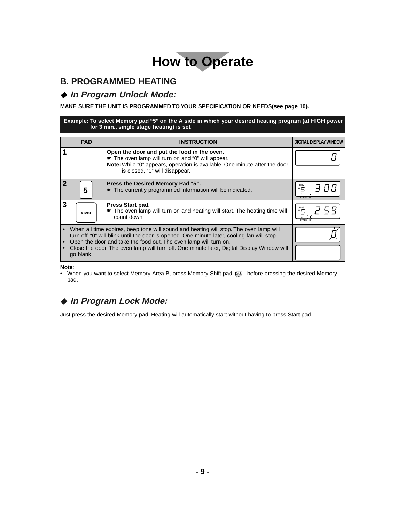### **B. PROGRAMMED HEATING**

#### ◆ In Program Unlock Mode:

**MAKE SURE THE UNIT IS PROGRAMMED TO YOUR SPECIFICATION OR NEEDS(see page 10).**

**Example: To select Memory pad "5" on the A side in which your desired heating program (at HIGH power for 3 min., single stage heating) is set**

|   | <b>PAD</b>                                                                                                                                                                                                                                                                                                                                                          | <b>INSTRUCTION</b>                                                                                                                                                                                             | <b>DIGITAL DISPLAY WINDOW</b> |
|---|---------------------------------------------------------------------------------------------------------------------------------------------------------------------------------------------------------------------------------------------------------------------------------------------------------------------------------------------------------------------|----------------------------------------------------------------------------------------------------------------------------------------------------------------------------------------------------------------|-------------------------------|
|   |                                                                                                                                                                                                                                                                                                                                                                     | Open the door and put the food in the oven.<br>The oven lamp will turn on and "0" will appear.<br>Note: While "0" appears, operation is available. One minute after the door<br>is closed, "0" will disappear. |                               |
|   | 5                                                                                                                                                                                                                                                                                                                                                                   | Press the Desired Memory Pad "5".<br>The currently programmed information will be indicated.                                                                                                                   | ш<br>STAGE HI                 |
| 3 | <b>START</b>                                                                                                                                                                                                                                                                                                                                                        | Press Start pad.<br>The oven lamp will turn on and heating will start. The heating time will<br>count down.                                                                                                    |                               |
|   | When all time expires, beep tone will sound and heating will stop. The oven lamp will<br>turn off. "0" will blink until the door is opened. One minute later, cooling fan will stop.<br>Open the door and take the food out. The oven lamp will turn on.<br>Close the door. The oven lamp will turn off. One minute later, Digital Display Window will<br>go blank. |                                                                                                                                                                                                                |                               |

**Note**:

• When you want to select Memory Area B, press Memory Shift pad before pressing the desired Memory **A B (AM) (PM)**pad. **SHIFT** 

## ◆ **In Program Lock Mode:**

Just press the desired Memory pad. Heating will automatically start without having to press Start pad.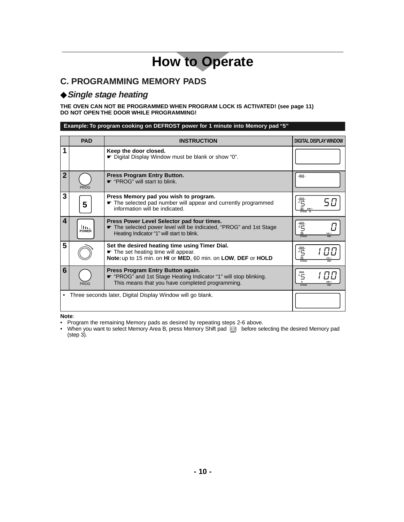## **C. PROGRAMMING MEMORY PADS**

#### ◆**Single stage heating**

**THE OVEN CAN NOT BE PROGRAMMED WHEN PROGRAM LOCK IS ACTIVATED! (see page 11) DO NOT OPEN THE DOOR WHILE PROGRAMMING!**

#### **Example: To program cooking on DEFROST power for 1 minute into Memory pad "5"**

|             | <b>PAD</b>           | <b>INSTRUCTION</b>                                                                                                                                           | <b>DIGITAL DISPLAY WINDOW</b>    |
|-------------|----------------------|--------------------------------------------------------------------------------------------------------------------------------------------------------------|----------------------------------|
|             |                      | Keep the door closed.<br>► Digital Display Window must be blank or show "0".                                                                                 |                                  |
| $\mathbf 2$ | PROG                 | Press Program Entry Button.<br>← "PROG" will start to blink.                                                                                                 | -PROG-                           |
| 3           | 5                    | Press Memory pad you wish to program.<br>The selected pad number will appear and currently programmed<br>information will be indicated.                      | STAGE HI                         |
| 4           | llı.<br><b>POWER</b> | Press Power Level Selector pad four times.<br>The selected power level will be indicated, "PROG" and 1st Stage<br>Heating Indicator "1" will start to blink. | PROG<br>ш<br><b>STAGE</b>        |
| 5           |                      | Set the desired heating time using Timer Dial.<br>The set heating time will appear.<br>Note: up to 15 min. on HI or MED, 60 min. on LOW, DEF or HOLD         | $A \overline{G}$<br><b>STAGE</b> |
| 6           | <b>PROG</b>          | Press Program Entry Button again.<br>← "PROG" and 1st Stage Heating Indicator "1" will stop blinking.<br>This means that you have completed programming.     | PROG<br>٠5<br><b>STAGE</b>       |
|             |                      | Three seconds later, Digital Display Window will go blank.                                                                                                   |                                  |

**Note**:

- Program the remaining Memory pads as desired by repeating steps 2-6 above.
- **•** When you want to select Memory Area B, press Memory Shift pad **before selecting the desired Memory pad** (step 3).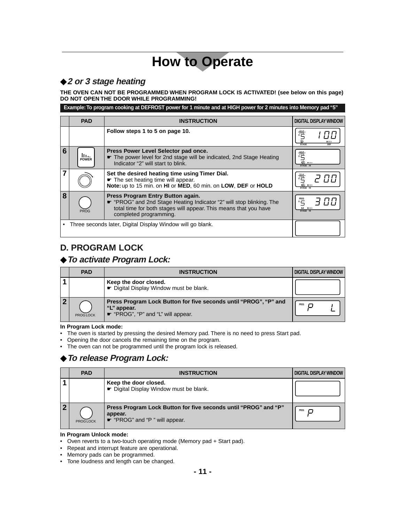### ◆**2 or 3 stage heating**

**THE OVEN CAN NOT BE PROGRAMMED WHEN PROGRAM LOCK IS ACTIVATED! (see below on this page) DO NOT OPEN THE DOOR WHILE PROGRAMMING!**

**Example:To program cooking at DEFROST power for 1 minute and at HIGH power for 2 minutes into Memory pad "5"**

|   | <b>PAD</b>                                                   | <b>INSTRUCTION</b>                                                                                                                                                                                      | <b>DIGITAL DISPLAY WINDOW</b>                                                 |
|---|--------------------------------------------------------------|---------------------------------------------------------------------------------------------------------------------------------------------------------------------------------------------------------|-------------------------------------------------------------------------------|
|   |                                                              | Follow steps 1 to 5 on page 10.                                                                                                                                                                         | <b>PROG</b><br>ш<br><b>STAGE</b><br>DFF                                       |
| 6 | ш.<br><b>POWER</b>                                           | Press Power Level Selector pad once.<br>The power level for 2nd stage will be indicated, 2nd Stage Heating<br>Indicator "2" will start to blink.                                                        | $62 - 111$<br>STAGE HI                                                        |
|   |                                                              | Set the desired heating time using Timer Dial.<br>The set heating time will appear.<br>Note: up to 15 min. on HI or MED, 60 min. on LOW, DEF or HOLD                                                    | $62 - 111$<br>STAGE HI                                                        |
| 8 | <b>PROG</b>                                                  | Press Program Entry Button again.<br>• "PROG" and 2nd Stage Heating Indicator "2" will stop blinking. The<br>total time for both stages will appear. This means that you have<br>completed programming. | PROG<br>$\neg$ [] $\Gamma$ i<br>$^{\circ}$<br>$12$ $\blacksquare$<br>STAGE HI |
|   | • Three seconds later, Digital Display Window will go blank. |                                                                                                                                                                                                         |                                                                               |

## **D. PROGRAM LOCK**

#### ◆**To activate Program Lock:**

| <b>PAD</b>      | <b>INSTRUCTION</b>                                                                                                    | <b>DIGITAL DISPLAY WINDOW</b> |
|-----------------|-----------------------------------------------------------------------------------------------------------------------|-------------------------------|
|                 | Keep the door closed.<br>► Digital Display Window must be blank.                                                      |                               |
| <b>PROGLOCK</b> | Press Program Lock Button for five seconds until "PROG", "P" and<br>"L" appear.<br>← "PROG", "P" and "L" will appear. | PROG                          |

#### **In Program Lock mode:**

- The oven is started by pressing the desired Memory pad. There is no need to press Start pad.
- Opening the door cancels the remaining time on the program.
- The oven can not be programmed until the program lock is released.

## ◆**To release Program Lock:**

| <b>PAD</b>      | <b>INSTRUCTION</b>                                                                                          | <b>DIGITAL DISPLAY WINDOW</b> |
|-----------------|-------------------------------------------------------------------------------------------------------------|-------------------------------|
|                 | Keep the door closed.<br>← Digital Display Window must be blank.                                            |                               |
| <b>PROGLOCK</b> | Press Program Lock Button for five seconds until "PROG" and "P"<br>appear.<br>· "PROG" and "P" will appear. | PROG                          |

#### **In Program Unlock mode:**

- Oven reverts to a two-touch operating mode (Memory pad + Start pad).
- Repeat and interrupt feature are operational.
- Memory pads can be programmed.
- Tone loudness and length can be changed.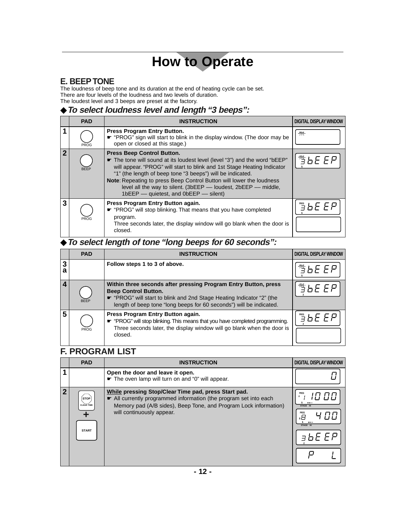## **E. BEEP TONE**

The loudness of beep tone and its duration at the end of heating cycle can be set. There are four levels of the loudness and two levels of duration. The loudest level and 3 beeps are preset at the factory.

### ◆**To select loudness level and length "3 beeps":**

|   | <b>PAD</b>  | <b>INSTRUCTION</b>                                                                                                                                                                                                                                                                                                                                                                                                                                 | <b>DIGITAL DISPLAY WINDOW</b> |
|---|-------------|----------------------------------------------------------------------------------------------------------------------------------------------------------------------------------------------------------------------------------------------------------------------------------------------------------------------------------------------------------------------------------------------------------------------------------------------------|-------------------------------|
|   | <b>PROG</b> | <b>Press Program Entry Button.</b><br>• "PROG" sign will start to blink in the display window. (The door may be<br>open or closed at this stage.)                                                                                                                                                                                                                                                                                                  | $-pR06-$                      |
| 2 | <b>BEEP</b> | <b>Press Beep Control Button.</b><br><b>★</b> The tone will sound at its loudest level (level "3") and the word "bEEP"<br>will appear. "PROG" will start to blink and 1st Stage Heating Indicator<br>"1" (the length of beep tone "3 beeps") will be indicated.<br>Note: Repeating to press Beep Control Button will lower the loudness<br>level all the way to silent. (3bEEP - loudest, 2bEEP - middle,<br>1bEEP - quietest, and 0bEEP - silent) | 警占日日尸                         |
| 3 | PROG        | Press Program Entry Button again.<br>← "PROG" will stop blinking. That means that you have completed<br>program.<br>Three seconds later, the display window will go blank when the door is<br>closed.                                                                                                                                                                                                                                              | きらと とと                        |

## ◆**To select length of tone "long beeps for 60 seconds":**

|        | <b>PAD</b>  | <b>INSTRUCTION</b>                                                                                                                                                                                                                             | <b>DIGITAL DISPLAY WINDOW</b>                                                             |
|--------|-------------|------------------------------------------------------------------------------------------------------------------------------------------------------------------------------------------------------------------------------------------------|-------------------------------------------------------------------------------------------|
| 3<br>a |             | Follow steps 1 to 3 of above.                                                                                                                                                                                                                  | 彎石 EP                                                                                     |
|        | <b>BEEP</b> | Within three seconds after pressing Program Entry Button, press<br><b>Beep Control Button.</b><br>• "PROG" will start to blink and 2nd Stage Heating Indicator "2" (the<br>length of beep tone "long beeps for 60 seconds") will be indicated. | $\overline{A}$ $\overline{B}$ $\overline{B}$ $\overline{E}$ $\overline{F}$ $\overline{F}$ |
| 5      | <b>PROG</b> | Press Program Entry Button again.<br>* "PROG" will stop blinking. This means that you have completed programming.<br>Three seconds later, the display window will go blank when the door is<br>closed.                                         | ミトF F                                                                                     |

### **F. PROGRAM LIST**

| <b>PAD</b>                                       | <b>INSTRUCTION</b>                                                                                                                                                                                                       | <b>DIGITAL DISPLAY WINDOW</b>                            |
|--------------------------------------------------|--------------------------------------------------------------------------------------------------------------------------------------------------------------------------------------------------------------------------|----------------------------------------------------------|
|                                                  | Open the door and leave it open.<br>The oven lamp will turn on and "0" will appear.                                                                                                                                      |                                                          |
| <b>STOP</b><br><b>CLEAR TIME</b><br><b>START</b> | While pressing Stop/Clear Time pad, press Start pad.<br>All currently programmed information (the program set into each<br>Memory pad (A/B sides), Beep Tone, and Program Lock information)<br>will continuously appear. | <b>PROG</b><br>STAGE HI<br>PROG<br>.8<br>---<br>STAGE HI |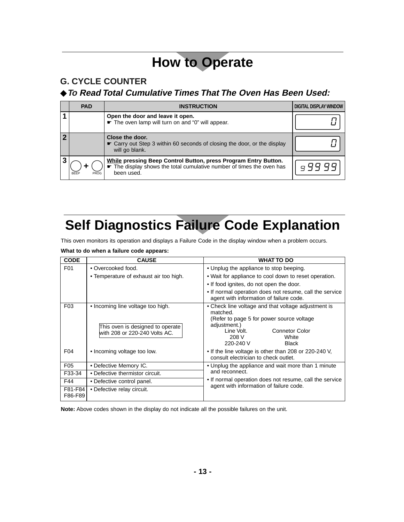## **G. CYCLE COUNTER**

## ◆**To Read Total Cumulative Times That The Oven Has Been Used:**

|   | <b>PAD</b>          | <b>INSTRUCTION</b>                                                                                                                                   | <b>DIGITAL DISPLAY WINDOW</b> |
|---|---------------------|------------------------------------------------------------------------------------------------------------------------------------------------------|-------------------------------|
|   |                     | Open the door and leave it open.<br>The oven lamp will turn on and "0" will appear.                                                                  |                               |
|   |                     | Close the door.<br>• Carry out Step 3 within 60 seconds of closing the door, or the display<br>will go blank.                                        |                               |
| 3 | <b>BEEP</b><br>PROG | While pressing Beep Control Button, press Program Entry Button.<br>The display shows the total cumulative number of times the oven has<br>been used. |                               |

# **Self Diagnostics Failure Code Explanation**

This oven monitors its operation and displays a Failure Code in the display window when a problem occurs.

**What to do when a failure code appears:**

| <b>CODE</b>                               | <b>CAUSE</b>                                                      | <b>WHAT TO DO</b>                                                                                             |  |
|-------------------------------------------|-------------------------------------------------------------------|---------------------------------------------------------------------------------------------------------------|--|
| F01                                       | • Overcooked food.                                                | • Unplug the appliance to stop beeping.                                                                       |  |
|                                           | • Temperature of exhaust air too high.                            | • Wait for appliance to cool down to reset operation.                                                         |  |
|                                           |                                                                   | • If food ignites, do not open the door.                                                                      |  |
|                                           |                                                                   | • If normal operation does not resume, call the service<br>agent with information of failure code.            |  |
| F <sub>03</sub>                           | • Incoming line voltage too high.                                 | • Check line voltage and that voltage adjustment is<br>matched.<br>(Refer to page 5 for power source voltage) |  |
|                                           | This oven is designed to operate<br>with 208 or 220-240 Volts AC. | adjustment.)<br>Line Volt.<br><b>Connetor Color</b><br>208 V<br>White<br>220-240 V<br><b>Black</b>            |  |
| F <sub>04</sub>                           | • Incoming voltage too low.                                       | • If the line voltage is other than 208 or 220-240 V.<br>consult electrician to check outlet.                 |  |
| F <sub>05</sub><br>• Defective Memory IC. |                                                                   | • Unplug the appliance and wait more than 1 minute                                                            |  |
| F33-34                                    | • Defective thermistor circuit.                                   | and reconnect.                                                                                                |  |
| F44                                       | • Defective control panel.                                        | • If normal operation does not resume, call the service<br>agent with information of failure code.            |  |
| F81-F84<br>F86-F89                        | • Defective relay circuit.                                        |                                                                                                               |  |

**Note:** Above codes shown in the display do not indicate all the possible failures on the unit.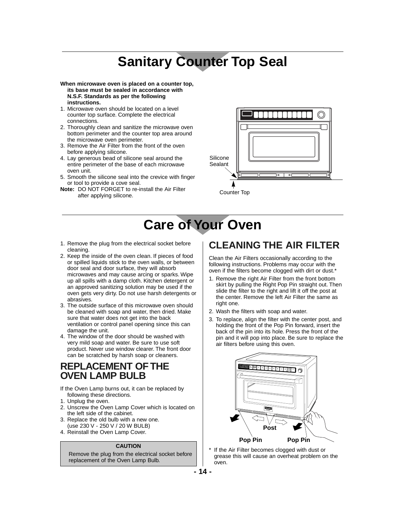## **Sanitary Counter Top Seal**

**When microwave oven is placed on a counter top, its base must be sealed in accordance with N.S.F. Standards as per the following instructions.**

- 1. Microwave oven should be located on a level counter top surface. Complete the electrical connections.
- 2. Thoroughly clean and sanitize the microwave oven bottom perimeter and the counter top area around the microwave oven perimeter.
- 3. Remove the Air Filter from the front of the oven before applying silicone.
- 4. Lay generous bead of silicone seal around the entire perimeter of the base of each microwave oven unit.
- 5. Smooth the silicone seal into the crevice with finger or tool to provide a cove seal.
- **Note:** DO NOT FORGET to re-install the Air Filter after applying silicone.



**Care of Your Oven**

- 1. Remove the plug from the electrical socket before cleaning.
- 2. Keep the inside of the oven clean. If pieces of food or spilled liquids stick to the oven walls, or between door seal and door surface, they will absorb microwaves and may cause arcing or sparks. Wipe up all spills with a damp cloth. Kitchen detergent or an approved sanitizing solution may be used if the oven gets very dirty. Do not use harsh detergents or abrasives.
- 3. The outside surface of this microwave oven should be cleaned with soap and water, then dried. Make sure that water does not get into the back ventilation or control panel opening since this can damage the unit.
- 4. The window of the door should be washed with very mild soap and water. Be sure to use soft product. Never use window clearer. The front door can be scratched by harsh soap or cleaners.

### **REPLACEMENT OF THE OVEN LAMP BULB**

If the Oven Lamp burns out, it can be replaced by following these directions.

- 1. Unplug the oven.
- 2. Unscrew the Oven Lamp Cover which is located on the left side of the cabinet.
- 3. Replace the old bulb with a new one. (use 230 V - 250 V / 20 W BULB)
- 4. Reinstall the Oven Lamp Cover.

#### **CAUTION**

Remove the plug from the electrical socket before replacement of the Oven Lamp Bulb.

## **CLEANING THE AIR FILTER**

Clean the Air Filters occasionally according to the following instructions. Problems may occur with the oven if the filters become clogged with dirt or dust.<sup>\*</sup>

- 1. Remove the right Air Filter from the front bottom skirt by pulling the Right Pop Pin straight out. Then slide the filter to the right and lift it off the post at the center. Remove the left Air Filter the same as right one.
- 2. Wash the filters with soap and water.
- 3. To replace, align the filter with the center post, and holding the front of the Pop Pin forward, insert the back of the pin into its hole. Press the front of the pin and it will pop into place. Be sure to replace the air filters before using this oven.



\* If the Air Filter becomes clogged with dust or grease this will cause an overheat problem on the oven.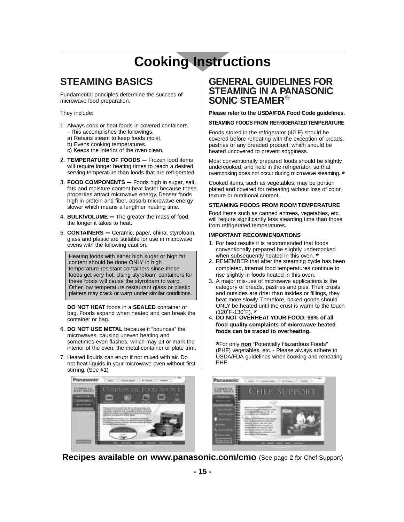# **Cooking Instructions**

## **STEAMING BASICS**

Fundamental principles determine the success of microwave food preparation.

They include:

- 1. Always cook or heat foods in covered containers. - This accomplishes the followings;
	- a) Retains steam to keep foods moist.
	- b) Evens cooking temperatures.
	- c) Keeps the interior of the oven clean.
- 2. **TEMPERATURE OF FOODS –** Frozen food items will require longer heating times to reach a desired serving temperature than foods that are refrigerated.
- 3. **FOOD COMPONENTS –** Foods high in sugar, salt, fats and moisture content heat faster because these properties attract microwave energy. Denser foods high in protein and fiber, absorb microwave energy slower which means a lengthier heating time.
- 4. **BULK/VOLUME –** The greater the mass of food, the longer it takes to heat.
- 5. **CONTAINERS –** Ceramic, paper, china, styrofoam, glass and plastic are suitable for use in microwave ovens with the following caution.

Heating foods with either high sugar or high fat content should be done ONLY in high temperature-resistant containers since these foods get very hot. Using styrofoam containers for these foods will cause the styrofoam to warp. Other low temperature restaurant glass or plastic platters may crack or warp under similar conditions.

**DO NOT HEAT** foods in a **SEALED** container or bag. Foods expand when heated and can break the container or bag.

- 6. **DO NOT USE METAL** because it "bounces" the microwaves, causing uneven heating and sometimes even flashes, which may pit or mark the interior of the oven, the metal container or plate trim.
- 7. Heated liquids can erupt if not mixed with air. Do not heat liquids in your microwave oven without first stirring. (See #1)



#### **GENERAL GUIDELINES FOR STEAMING IN A PANASONIC SONIC STEAMER®**

**Please refer to the USDA/FDA Food Code guidelines.**

#### **STEAMING FOODS FROM REFRIGERATED TEMPERATURE**

Foods stored in the refrigerator (40˚F) should be covered before reheating with the exception of breads, pastries or any breaded product, which should be heated uncovered to prevent sogginess.

Most conventionally prepared foods should be slightly undercooked, and held in the refrigerator, so that overcooking does not occur during microwave steaming.\*

Cooked items, such as vegetables, may be portion plated and covered for reheating without loss of color, texture or nutritional content.

#### **STEAMING FOODS FROM ROOM TEMPERATURE**

Food items such as canned entrees, vegetables, etc. will require significantly less steaming time than those from refrigerated temperatures.

#### **IMPORTANT RECOMMENDATIONS**

- 1. For best results it is recommended that foods conventionally prepared be slightly undercooked
- when subsequently heated in this oven. \*<br>2. REMEMBER that after the steaming cycle has been completed, internal food temperatures continue to rise slightly in foods heated in this oven.
- 3. A major mis-use of microwave applications is the category of breads, pastries and pies. Their crusts and outsides are drier than insides or fillings, they heat more slowly. Therefore, baked goods should ONLY be heated until the crust is warm to the touch  $(120°F-130°F)$ . \*
- 4. DO NOT OVERHEAT YOUR FOOD: 99% of all **food quality complaints of microwave heated foods can be traced to overheating.**

**\***For only **non** "Potentially Hazardous Foods" (PHF) vegetables, etc. - Please always adhere to USDA/FDA guidelines when cooking and reheating PHF.



**Recipes available on www.panasonic.com/cmo** (See page 2 for Chef Support)